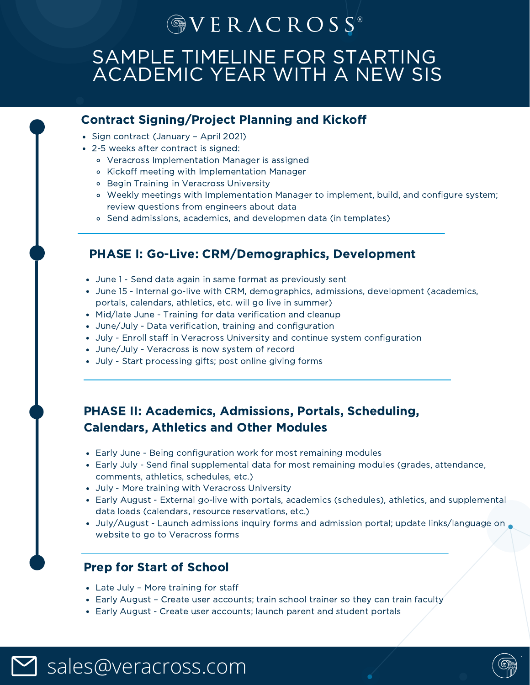# $\circledcirc V$  E R  $\Lambda$  C R O S S<sup>®</sup>

# SAMPLE TIMELINE FOR STARTING ACADEMIC YEAR WITH A NEW SIS

## Contract Signing/Project Planning and Kickoff

- Sign contract (January April 2021)
- 2-5 weeks after contract is signed:
	- Veracross Implementation Manager is assigned
	- Kickoff meeting with Implementation Manager
	- Begin Training in Veracross University
	- Weekly meetings with Implementation Manager to implement, build, and configure system; review questions from engineers about data
	- Send admissions, academics, and developmen data (in templates)

## PHASE I: Go-Live: CRM/Demographics, Development

- June 1 Send data again in same format as previously sent
- June 15 Internal go-live with CRM, demographics, admissions, development (academics, portals, calendars, athletics, etc. will go live in summer)
- Mid/late June Training for data verification and cleanup
- June/July Data verification, training and configuration
- July Enroll staff in Veracross University and continue system configuration
- June/July Veracross is now system of record
- July Start processing gifts; post online giving forms

# PHASE II: Academics, Admissions, Portals, Scheduling, Calendars, Athletics and Other Modules

- Early June Being configuration work for most remaining modules
- Early July Send final supplemental data for most remaining modules (grades, attendance, comments, athletics, schedules, etc.)
- July More training with Veracross University
- Early August External go-live with portals, academics (schedules), athletics, and supplemental data loads (calendars, resource reservations, etc.)
- July/August Launch admissions inquiry forms and admission portal; update links/language on website to go to Veracross forms

# Prep for Start of School

- Late July More training for staff
- Early August Create user accounts; train school trainer so they can train faculty
- Early August Create user accounts; launch parent and student portals